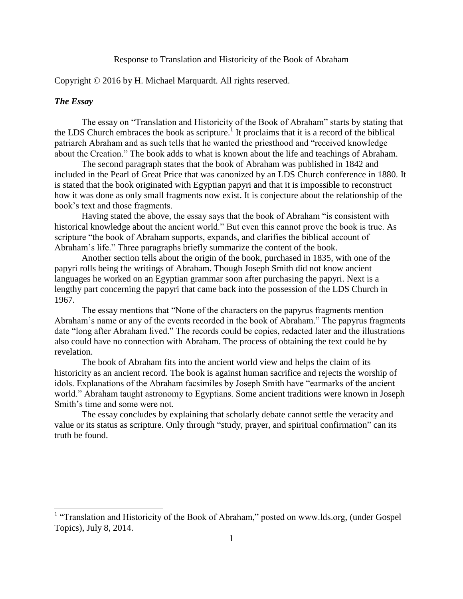### Response to Translation and Historicity of the Book of Abraham

#### Copyright © 2016 by H. Michael Marquardt. All rights reserved.

## *The Essay*

The essay on "Translation and Historicity of the Book of Abraham" starts by stating that the LDS Church embraces the book as scripture.<sup>1</sup> It proclaims that it is a record of the biblical patriarch Abraham and as such tells that he wanted the priesthood and "received knowledge about the Creation." The book adds to what is known about the life and teachings of Abraham.

The second paragraph states that the book of Abraham was published in 1842 and included in the Pearl of Great Price that was canonized by an LDS Church conference in 1880. It is stated that the book originated with Egyptian papyri and that it is impossible to reconstruct how it was done as only small fragments now exist. It is conjecture about the relationship of the book's text and those fragments.

Having stated the above, the essay says that the book of Abraham "is consistent with historical knowledge about the ancient world." But even this cannot prove the book is true. As scripture "the book of Abraham supports, expands, and clarifies the biblical account of Abraham's life." Three paragraphs briefly summarize the content of the book.

Another section tells about the origin of the book, purchased in 1835, with one of the papyri rolls being the writings of Abraham. Though Joseph Smith did not know ancient languages he worked on an Egyptian grammar soon after purchasing the papyri. Next is a lengthy part concerning the papyri that came back into the possession of the LDS Church in 1967.

The essay mentions that "None of the characters on the papyrus fragments mention Abraham's name or any of the events recorded in the book of Abraham." The papyrus fragments date "long after Abraham lived." The records could be copies, redacted later and the illustrations also could have no connection with Abraham. The process of obtaining the text could be by revelation.

The book of Abraham fits into the ancient world view and helps the claim of its historicity as an ancient record. The book is against human sacrifice and rejects the worship of idols. Explanations of the Abraham facsimiles by Joseph Smith have "earmarks of the ancient world." Abraham taught astronomy to Egyptians. Some ancient traditions were known in Joseph Smith's time and some were not.

The essay concludes by explaining that scholarly debate cannot settle the veracity and value or its status as scripture. Only through "study, prayer, and spiritual confirmation" can its truth be found.

<sup>&</sup>lt;sup>1</sup> "Translation and Historicity of the Book of Abraham," posted on www.lds.org, (under Gospel) Topics), July 8, 2014.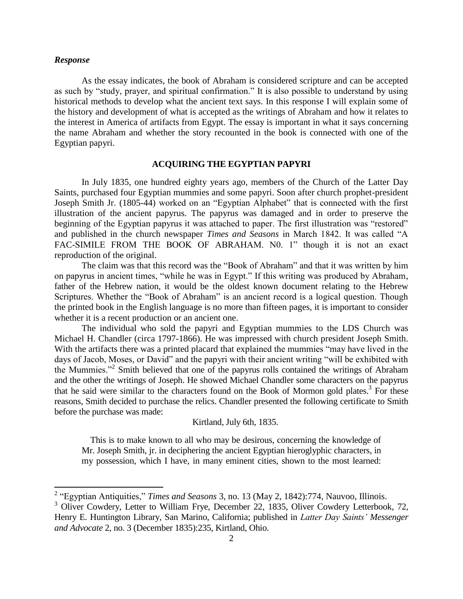#### *Response*

As the essay indicates, the book of Abraham is considered scripture and can be accepted as such by "study, prayer, and spiritual confirmation." It is also possible to understand by using historical methods to develop what the ancient text says. In this response I will explain some of the history and development of what is accepted as the writings of Abraham and how it relates to the interest in America of artifacts from Egypt. The essay is important in what it says concerning the name Abraham and whether the story recounted in the book is connected with one of the Egyptian papyri.

### **ACQUIRING THE EGYPTIAN PAPYRI**

In July 1835, one hundred eighty years ago, members of the Church of the Latter Day Saints, purchased four Egyptian mummies and some papyri. Soon after church prophet-president Joseph Smith Jr. (1805-44) worked on an "Egyptian Alphabet" that is connected with the first illustration of the ancient papyrus. The papyrus was damaged and in order to preserve the beginning of the Egyptian papyrus it was attached to paper. The first illustration was "restored" and published in the church newspaper *Times and Seasons* in March 1842. It was called "A FAC-SIMILE FROM THE BOOK OF ABRAHAM. NO. 1" though it is not an exact reproduction of the original.

The claim was that this record was the "Book of Abraham" and that it was written by him on papyrus in ancient times, "while he was in Egypt." If this writing was produced by Abraham, father of the Hebrew nation, it would be the oldest known document relating to the Hebrew Scriptures. Whether the "Book of Abraham" is an ancient record is a logical question. Though the printed book in the English language is no more than fifteen pages, it is important to consider whether it is a recent production or an ancient one.

The individual who sold the papyri and Egyptian mummies to the LDS Church was Michael H. Chandler (circa 1797-1866). He was impressed with church president Joseph Smith. With the artifacts there was a printed placard that explained the mummies "may have lived in the days of Jacob, Moses, or David" and the papyri with their ancient writing "will be exhibited with the Mummies."<sup>2</sup> Smith believed that one of the papyrus rolls contained the writings of Abraham and the other the writings of Joseph. He showed Michael Chandler some characters on the papyrus that he said were similar to the characters found on the Book of Mormon gold plates.<sup>3</sup> For these reasons, Smith decided to purchase the relics. Chandler presented the following certificate to Smith before the purchase was made:

Kirtland, July 6th, 1835.

 This is to make known to all who may be desirous, concerning the knowledge of Mr. Joseph Smith, jr. in deciphering the ancient Egyptian hieroglyphic characters, in my possession, which I have, in many eminent cities, shown to the most learned:

 2 "Egyptian Antiquities," *Times and Seasons* 3, no. 13 (May 2, 1842):774, Nauvoo, Illinois.

 $3$  Oliver Cowdery, Letter to William Frye, December 22, 1835, Oliver Cowdery Letterbook, 72, Henry E. Huntington Library, San Marino, California; published in *Latter Day Saints' Messenger and Advocate* 2, no. 3 (December 1835):235, Kirtland, Ohio.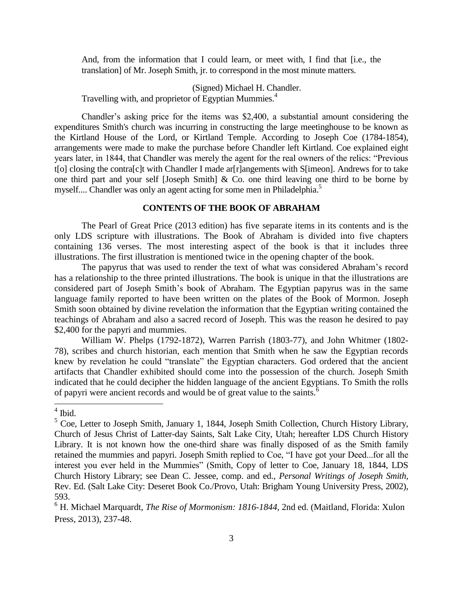And, from the information that I could learn, or meet with, I find that [i.e., the translation] of Mr. Joseph Smith, jr. to correspond in the most minute matters.

(Signed) Michael H. Chandler.

Travelling with, and proprietor of Egyptian Mummies.<sup>4</sup>

Chandler's asking price for the items was \$2,400, a substantial amount considering the expenditures Smith's church was incurring in constructing the large meetinghouse to be known as the Kirtland House of the Lord, or Kirtland Temple. According to Joseph Coe (1784-1854), arrangements were made to make the purchase before Chandler left Kirtland. Coe explained eight years later, in 1844, that Chandler was merely the agent for the real owners of the relics: "Previous t[o] closing the contra[c]t with Chandler I made ar[r]angements with S[imeon]. Andrews for to take one third part and your self [Joseph Smith] & Co. one third leaving one third to be borne by myself.... Chandler was only an agent acting for some men in Philadelphia.<sup>5</sup>

# **CONTENTS OF THE BOOK OF ABRAHAM**

The Pearl of Great Price (2013 edition) has five separate items in its contents and is the only LDS scripture with illustrations. The Book of Abraham is divided into five chapters containing 136 verses. The most interesting aspect of the book is that it includes three illustrations. The first illustration is mentioned twice in the opening chapter of the book.

The papyrus that was used to render the text of what was considered Abraham's record has a relationship to the three printed illustrations. The book is unique in that the illustrations are considered part of Joseph Smith's book of Abraham. The Egyptian papyrus was in the same language family reported to have been written on the plates of the Book of Mormon. Joseph Smith soon obtained by divine revelation the information that the Egyptian writing contained the teachings of Abraham and also a sacred record of Joseph. This was the reason he desired to pay \$2,400 for the papyri and mummies.

William W. Phelps (1792-1872), Warren Parrish (1803-77), and John Whitmer (1802- 78), scribes and church historian, each mention that Smith when he saw the Egyptian records knew by revelation he could "translate" the Egyptian characters. God ordered that the ancient artifacts that Chandler exhibited should come into the possession of the church. Joseph Smith indicated that he could decipher the hidden language of the ancient Egyptians. To Smith the rolls of papyri were ancient records and would be of great value to the saints.<sup>6</sup>

 $4$  Ibid.

<sup>&</sup>lt;sup>5</sup> Coe, Letter to Joseph Smith, January 1, 1844, Joseph Smith Collection, Church History Library, Church of Jesus Christ of Latter-day Saints, Salt Lake City, Utah; hereafter LDS Church History Library. It is not known how the one-third share was finally disposed of as the Smith family retained the mummies and papyri. Joseph Smith replied to Coe, "I have got your Deed...for all the interest you ever held in the Mummies" (Smith, Copy of letter to Coe, January 18, 1844, LDS Church History Library; see Dean C. Jessee, comp. and ed., *Personal Writings of Joseph Smith,* Rev. Ed. (Salt Lake City: Deseret Book Co./Provo, Utah: Brigham Young University Press, 2002), 593.

<sup>6</sup> H. Michael Marquardt, *The Rise of Mormonism: 1816-1844*, 2nd ed. (Maitland, Florida: Xulon Press, 2013), 237-48.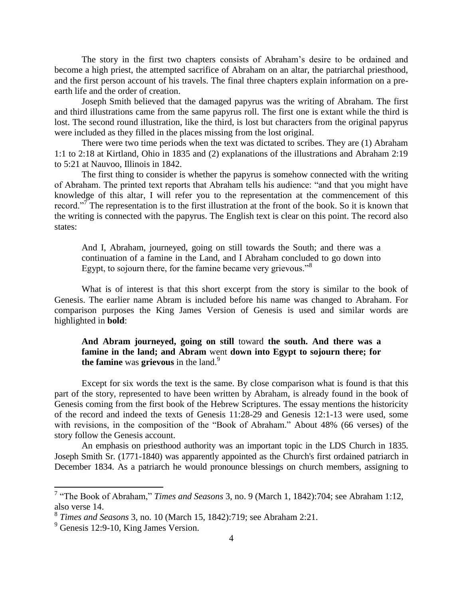The story in the first two chapters consists of Abraham's desire to be ordained and become a high priest, the attempted sacrifice of Abraham on an altar, the patriarchal priesthood, and the first person account of his travels. The final three chapters explain information on a preearth life and the order of creation.

Joseph Smith believed that the damaged papyrus was the writing of Abraham. The first and third illustrations came from the same papyrus roll. The first one is extant while the third is lost. The second round illustration, like the third, is lost but characters from the original papyrus were included as they filled in the places missing from the lost original.

There were two time periods when the text was dictated to scribes. They are (1) Abraham 1:1 to 2:18 at Kirtland, Ohio in 1835 and (2) explanations of the illustrations and Abraham 2:19 to 5:21 at Nauvoo, Illinois in 1842.

The first thing to consider is whether the papyrus is somehow connected with the writing of Abraham. The printed text reports that Abraham tells his audience: "and that you might have knowledge of this altar, I will refer you to the representation at the commencement of this record."<sup>7</sup> The representation is to the first illustration at the front of the book. So it is known that the writing is connected with the papyrus. The English text is clear on this point. The record also states:

And I, Abraham, journeyed, going on still towards the South; and there was a continuation of a famine in the Land, and I Abraham concluded to go down into Egypt, to sojourn there, for the famine became very grievous."<sup>8</sup>

What is of interest is that this short excerpt from the story is similar to the book of Genesis. The earlier name Abram is included before his name was changed to Abraham. For comparison purposes the King James Version of Genesis is used and similar words are highlighted in **bold**:

**And Abram journeyed, going on still** toward **the south. And there was a famine in the land; and Abram** went **down into Egypt to sojourn there; for the famine** was **grievous** in the land.<sup>9</sup>

Except for six words the text is the same. By close comparison what is found is that this part of the story, represented to have been written by Abraham, is already found in the book of Genesis coming from the first book of the Hebrew Scriptures. The essay mentions the historicity of the record and indeed the texts of Genesis 11:28-29 and Genesis 12:1-13 were used, some with revisions, in the composition of the "Book of Abraham." About 48% (66 verses) of the story follow the Genesis account.

An emphasis on priesthood authority was an important topic in the LDS Church in 1835. Joseph Smith Sr. (1771-1840) was apparently appointed as the Church's first ordained patriarch in December 1834. As a patriarch he would pronounce blessings on church members, assigning to

 7 "The Book of Abraham," *Times and Seasons* 3, no. 9 (March 1, 1842):704; see Abraham 1:12, also verse 14.

<sup>8</sup> *Times and Seasons* 3, no. 10 (March 15, 1842):719; see Abraham 2:21.

<sup>&</sup>lt;sup>9</sup> Genesis 12:9-10, King James Version.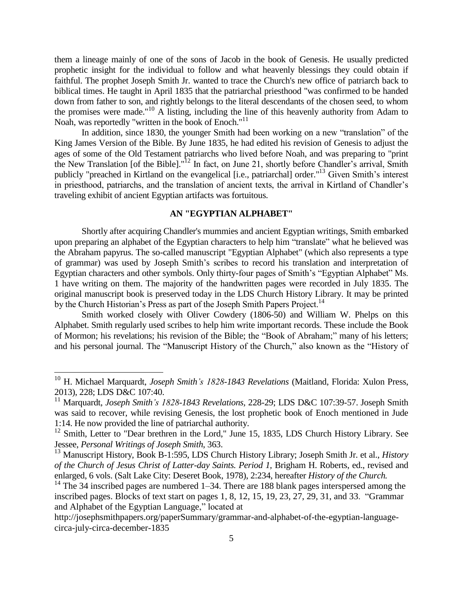them a lineage mainly of one of the sons of Jacob in the book of Genesis. He usually predicted prophetic insight for the individual to follow and what heavenly blessings they could obtain if faithful. The prophet Joseph Smith Jr. wanted to trace the Church's new office of patriarch back to biblical times. He taught in April 1835 that the patriarchal priesthood "was confirmed to be handed down from father to son, and rightly belongs to the literal descendants of the chosen seed, to whom the promises were made."<sup>10</sup> A listing, including the line of this heavenly authority from Adam to Noah, was reportedly "written in the book of Enoch."<sup>11</sup>

In addition, since 1830, the younger Smith had been working on a new "translation" of the King James Version of the Bible. By June 1835, he had edited his revision of Genesis to adjust the ages of some of the Old Testament patriarchs who lived before Noah, and was preparing to "print the New Translation [of the Bible]."<sup>12</sup> In fact, on June 21, shortly before Chandler's arrival, Smith publicly "preached in Kirtland on the evangelical [i.e., patriarchal] order."<sup>13</sup> Given Smith's interest in priesthood, patriarchs, and the translation of ancient texts, the arrival in Kirtland of Chandler's traveling exhibit of ancient Egyptian artifacts was fortuitous.

## **AN "EGYPTIAN ALPHABET"**

Shortly after acquiring Chandler's mummies and ancient Egyptian writings, Smith embarked upon preparing an alphabet of the Egyptian characters to help him "translate" what he believed was the Abraham papyrus. The so-called manuscript "Egyptian Alphabet" (which also represents a type of grammar) was used by Joseph Smith's scribes to record his translation and interpretation of Egyptian characters and other symbols. Only thirty-four pages of Smith's "Egyptian Alphabet" Ms. 1 have writing on them. The majority of the handwritten pages were recorded in July 1835. The original manuscript book is preserved today in the LDS Church History Library. It may be printed by the Church Historian's Press as part of the Joseph Smith Papers Project.<sup>14</sup>

Smith worked closely with Oliver Cowdery (1806-50) and William W. Phelps on this Alphabet. Smith regularly used scribes to help him write important records. These include the Book of Mormon; his revelations; his revision of the Bible; the "Book of Abraham;" many of his letters; and his personal journal. The "Manuscript History of the Church," also known as the "History of

<sup>10</sup> H. Michael Marquardt, *Joseph Smith's 1828-1843 Revelations* (Maitland, Florida: Xulon Press, 2013), 228; LDS D&C 107:40.

<sup>11</sup> Marquardt, *Joseph Smith's 1828-1843 Revelations,* 228-29; LDS D&C 107:39-57. Joseph Smith was said to recover, while revising Genesis, the lost prophetic book of Enoch mentioned in Jude 1:14. He now provided the line of patriarchal authority.

<sup>&</sup>lt;sup>12</sup> Smith, Letter to "Dear brethren in the Lord," June 15, 1835, LDS Church History Library. See Jessee, *Personal Writings of Joseph Smith*, 363.

<sup>13</sup> Manuscript History, Book B-1:595, LDS Church History Library; Joseph Smith Jr. et al., *History of the Church of Jesus Christ of Latter-day Saints. Period 1,* Brigham H. Roberts, ed., revised and enlarged, 6 vols. (Salt Lake City: Deseret Book, 1978), 2:234, hereafter *History of the Church.*

 $14$  The 34 inscribed pages are numbered 1–34. There are 188 blank pages interspersed among the inscribed pages. Blocks of text start on pages [1,](http://josephsmithpapers.org/paperSummary/grammar-and-alphabet-of-the-egyptian-language-circa-july-circa-december-1835?p=7) [8,](http://josephsmithpapers.org/paperSummary/grammar-and-alphabet-of-the-egyptian-language-circa-july-circa-december-1835?p=40) [12,](http://josephsmithpapers.org/paperSummary/grammar-and-alphabet-of-the-egyptian-language-circa-july-circa-december-1835?p=50) [15,](http://josephsmithpapers.org/paperSummary/grammar-and-alphabet-of-the-egyptian-language-circa-july-circa-december-1835?p=59) [19,](http://josephsmithpapers.org/paperSummary/grammar-and-alphabet-of-the-egyptian-language-circa-july-circa-december-1835?p=74) [23,](http://josephsmithpapers.org/paperSummary/grammar-and-alphabet-of-the-egyptian-language-circa-july-circa-december-1835?p=93) [27,](http://josephsmithpapers.org/paperSummary/grammar-and-alphabet-of-the-egyptian-language-circa-july-circa-december-1835?p=109) [29,](http://josephsmithpapers.org/paperSummary/grammar-and-alphabet-of-the-egyptian-language-circa-july-circa-december-1835?p=133) [31,](http://josephsmithpapers.org/paperSummary/grammar-and-alphabet-of-the-egyptian-language-circa-july-circa-december-1835?p=157) and [33.](http://josephsmithpapers.org/paperSummary/grammar-and-alphabet-of-the-egyptian-language-circa-july-circa-december-1835?p=181) "Grammar and Alphabet of the Egyptian Language," located at

http://josephsmithpapers.org/paperSummary/grammar-and-alphabet-of-the-egyptian-languagecirca-july-circa-december-1835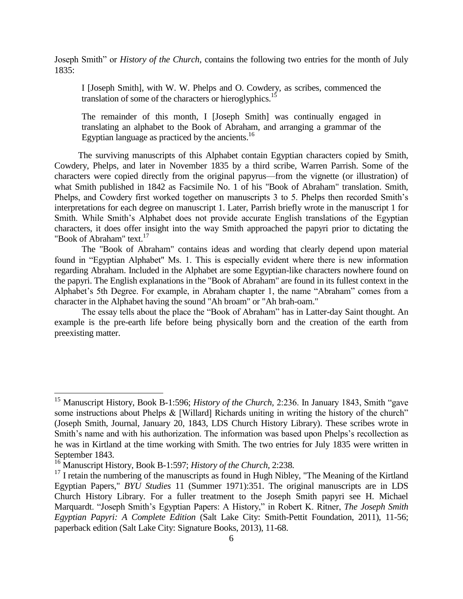Joseph Smith" or *History of the Church*, contains the following two entries for the month of July 1835:

I [Joseph Smith], with W. W. Phelps and O. Cowdery, as scribes, commenced the translation of some of the characters or hieroglyphics.<sup>15</sup>

The remainder of this month, I [Joseph Smith] was continually engaged in translating an alphabet to the Book of Abraham, and arranging a grammar of the Egyptian language as practiced by the ancients. $^{16}$ 

 The surviving manuscripts of this Alphabet contain Egyptian characters copied by Smith, Cowdery, Phelps, and later in November 1835 by a third scribe, Warren Parrish. Some of the characters were copied directly from the original papyrus—from the vignette (or illustration) of what Smith published in 1842 as Facsimile No. 1 of his "Book of Abraham" translation. Smith, Phelps, and Cowdery first worked together on manuscripts 3 to 5. Phelps then recorded Smith's interpretations for each degree on manuscript 1. Later, Parrish briefly wrote in the manuscript 1 for Smith. While Smith's Alphabet does not provide accurate English translations of the Egyptian characters, it does offer insight into the way Smith approached the papyri prior to dictating the "Book of Abraham" text.<sup>17</sup>

The "Book of Abraham" contains ideas and wording that clearly depend upon material found in "Egyptian Alphabet" Ms. 1. This is especially evident where there is new information regarding Abraham. Included in the Alphabet are some Egyptian-like characters nowhere found on the papyri. The English explanations in the "Book of Abraham" are found in its fullest context in the Alphabet's 5th Degree. For example, in Abraham chapter 1, the name "Abraham" comes from a character in the Alphabet having the sound "Ah broam" or "Ah brah-oam."

The essay tells about the place the "Book of Abraham" has in Latter-day Saint thought. An example is the pre-earth life before being physically born and the creation of the earth from preexisting matter.

 $\overline{a}$ 

<sup>15</sup> Manuscript History, Book B-1:596; *History of the Church,* 2:236. In January 1843, Smith "gave some instructions about Phelps & [Willard] Richards uniting in writing the history of the church" (Joseph Smith, Journal, January 20, 1843, LDS Church History Library). These scribes wrote in Smith's name and with his authorization. The information was based upon Phelps's recollection as he was in Kirtland at the time working with Smith. The two entries for July 1835 were written in September 1843.

<sup>16</sup> Manuscript History, Book B-1:597; *History of the Church,* 2:238.

<sup>&</sup>lt;sup>17</sup> I retain the numbering of the manuscripts as found in Hugh Nibley, "The Meaning of the Kirtland Egyptian Papers," *BYU Studies* 11 (Summer 1971):351. The original manuscripts are in LDS Church History Library. For a fuller treatment to the Joseph Smith papyri see H. Michael Marquardt. "Joseph Smith's Egyptian Papers: A History," in Robert K. Ritner, *The Joseph Smith Egyptian Papyri: A Complete Edition* (Salt Lake City: Smith-Pettit Foundation, 2011), 11-56; paperback edition (Salt Lake City: Signature Books, 2013), 11-68.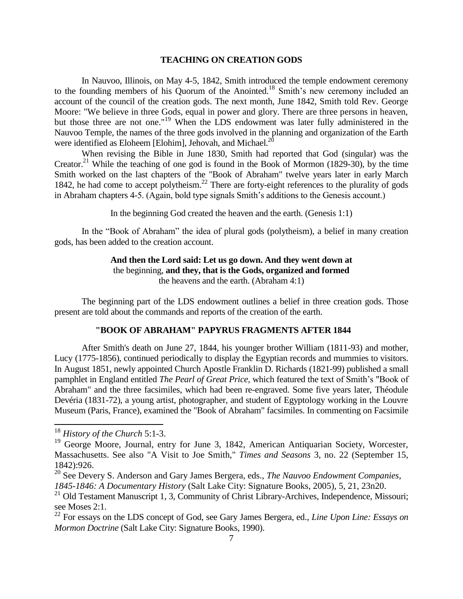### **TEACHING ON CREATION GODS**

In Nauvoo, Illinois, on May 4-5, 1842, Smith introduced the temple endowment ceremony to the founding members of his Quorum of the Anointed.<sup>18</sup> Smith's new ceremony included an account of the council of the creation gods. The next month, June 1842, Smith told Rev. George Moore: "We believe in three Gods, equal in power and glory. There are three persons in heaven, but those three are not one."<sup>19</sup> When the LDS endowment was later fully administered in the Nauvoo Temple, the names of the three gods involved in the planning and organization of the Earth were identified as Eloheem [Elohim], Jehovah, and Michael.<sup>20</sup>

When revising the Bible in June 1830, Smith had reported that God (singular) was the Creator.<sup>21</sup> While the teaching of one god is found in the Book of Mormon (1829-30), by the time Smith worked on the last chapters of the "Book of Abraham" twelve years later in early March 1842, he had come to accept polytheism.<sup>22</sup> There are forty-eight references to the plurality of gods in Abraham chapters 4-5. (Again, bold type signals Smith's additions to the Genesis account.)

In the beginning God created the heaven and the earth. (Genesis 1:1)

In the "Book of Abraham" the idea of plural gods (polytheism), a belief in many creation gods, has been added to the creation account.

## **And then the Lord said: Let us go down. And they went down at** the beginning, **and they, that is the Gods, organized and formed** the heavens and the earth. (Abraham 4:1)

The beginning part of the LDS endowment outlines a belief in three creation gods. Those present are told about the commands and reports of the creation of the earth.

# **"BOOK OF ABRAHAM" PAPYRUS FRAGMENTS AFTER 1844**

After Smith's death on June 27, 1844, his younger brother William (1811-93) and mother, Lucy (1775-1856), continued periodically to display the Egyptian records and mummies to visitors. In August 1851, newly appointed Church Apostle Franklin D. Richards (1821-99) published a small pamphlet in England entitled *The Pearl of Great Price,* which featured the text of Smith's "Book of Abraham" and the three facsimiles, which had been re-engraved. Some five years later, Théodule Devéria (1831-72), a young artist, photographer, and student of Egyptology working in the Louvre Museum (Paris, France), examined the "Book of Abraham" facsimiles. In commenting on Facsimile

<sup>18</sup> *History of the Church* 5:1-3.

<sup>&</sup>lt;sup>19</sup> George Moore, Journal, entry for June 3, 1842, American Antiquarian Society, Worcester, Massachusetts. See also "A Visit to Joe Smith," *Times and Seasons* 3, no. 22 (September 15, 1842):926.

<sup>20</sup> See Devery S. Anderson and Gary James Bergera, eds., *The Nauvoo Endowment Companies, 1845-1846: A Documentary History* (Salt Lake City: Signature Books, 2005), 5, 21, 23n20.

<sup>&</sup>lt;sup>21</sup> Old Testament Manuscript 1, 3, Community of Christ Library-Archives, Independence, Missouri; see Moses 2:1.

<sup>22</sup> For essays on the LDS concept of God, see Gary James Bergera, ed., *Line Upon Line: Essays on Mormon Doctrine* (Salt Lake City: Signature Books, 1990).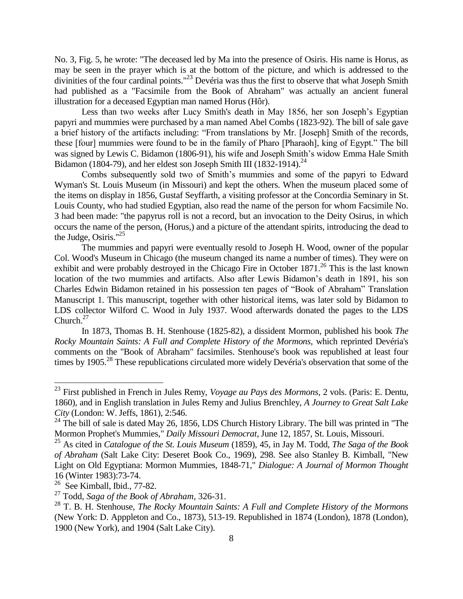No. 3, Fig. 5, he wrote: "The deceased led by Ma into the presence of Osiris. His name is Horus, as may be seen in the prayer which is at the bottom of the picture, and which is addressed to the divinities of the four cardinal points."<sup>23</sup> Devéria was thus the first to observe that what Joseph Smith had published as a "Facsimile from the Book of Abraham" was actually an ancient funeral illustration for a deceased Egyptian man named Horus (Hôr).

Less than two weeks after Lucy Smith's death in May 1856, her son Joseph's Egyptian papyri and mummies were purchased by a man named Abel Combs (1823-92). The bill of sale gave a brief history of the artifacts including: "From translations by Mr. [Joseph] Smith of the records, these [four] mummies were found to be in the family of Pharo [Pharaoh], king of Egypt." The bill was signed by Lewis C. Bidamon (1806-91), his wife and Joseph Smith's widow Emma Hale Smith Bidamon (1804-79), and her eldest son Joseph Smith III (1832-1914).<sup>24</sup>

Combs subsequently sold two of Smith's mummies and some of the papyri to Edward Wyman's St. Louis Museum (in Missouri) and kept the others. When the museum placed some of the items on display in 1856, Gustaf Seyffarth, a visiting professor at the Concordia Seminary in St. Louis County, who had studied Egyptian, also read the name of the person for whom Facsimile No. 3 had been made: "the papyrus roll is not a record, but an invocation to the Deity Osirus, in which occurs the name of the person, (Horus,) and a picture of the attendant spirits, introducing the dead to the Judge, Osiris."<sup>25</sup>

The mummies and papyri were eventually resold to Joseph H. Wood, owner of the popular Col. Wood's Museum in Chicago (the museum changed its name a number of times). They were on exhibit and were probably destroyed in the Chicago Fire in October 1871.<sup>26</sup> This is the last known location of the two mummies and artifacts. Also after Lewis Bidamon's death in 1891, his son Charles Edwin Bidamon retained in his possession ten pages of "Book of Abraham" Translation Manuscript 1. This manuscript, together with other historical items, was later sold by Bidamon to LDS collector Wilford C. Wood in July 1937. Wood afterwards donated the pages to the LDS Church. $27$ 

In 1873, Thomas B. H. Stenhouse (1825-82), a dissident Mormon, published his book *The Rocky Mountain Saints: A Full and Complete History of the Mormons,* which reprinted Devéria's comments on the "Book of Abraham" facsimiles. Stenhouse's book was republished at least four times by 1905.<sup>28</sup> These republications circulated more widely Devéria's observation that some of the

l

<sup>23</sup> First published in French in Jules Remy, *Voyage au Pays des Mormons,* 2 vols. (Paris: E. Dentu, 1860), and in English translation in Jules Remy and Julius Brenchley, *A Journey to Great Salt Lake City* (London: W. Jeffs, 1861), 2:546.

<sup>&</sup>lt;sup>24</sup> The bill of sale is dated May 26, 1856, LDS Church History Library. The bill was printed in "The Mormon Prophet's Mummies," *Daily Missouri Democrat,* June 12, 1857, St. Louis, Missouri.

<sup>25</sup> As cited in *Catalogue of the St. Louis Museum* (1859), 45, in Jay M. Todd, *The Saga of the Book of Abraham* (Salt Lake City: Deseret Book Co., 1969), 298. See also Stanley B. Kimball, "New Light on Old Egyptiana: Mormon Mummies, 1848-71," *Dialogue: A Journal of Mormon Thought* 16 (Winter 1983):73-74.

 $26$  See Kimball, Ibid., 77-82.

<sup>27</sup> Todd, *Saga of the Book of Abraham*, 326-31.

<sup>28</sup> T. B. H. Stenhouse, *The Rocky Mountain Saints: A Full and Complete History of the Mormons* (New York: D. Apppleton and Co., 1873), 513-19. Republished in 1874 (London), 1878 (London), 1900 (New York), and 1904 (Salt Lake City).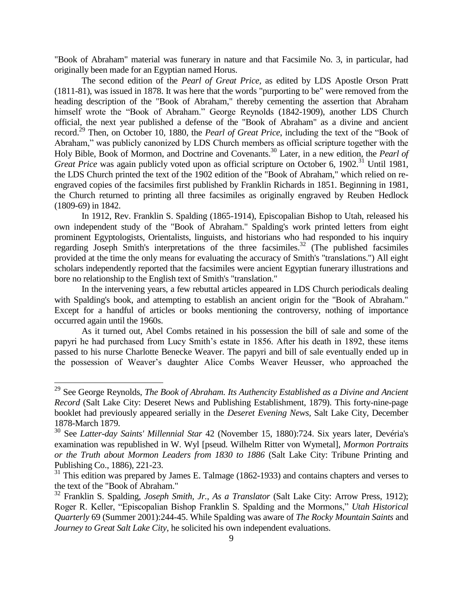"Book of Abraham" material was funerary in nature and that Facsimile No. 3, in particular, had originally been made for an Egyptian named Horus.

The second edition of the *Pearl of Great Price,* as edited by LDS Apostle Orson Pratt (1811-81), was issued in 1878. It was here that the words "purporting to be" were removed from the heading description of the "Book of Abraham," thereby cementing the assertion that Abraham himself wrote the "Book of Abraham." George Reynolds (1842-1909), another LDS Church official, the next year published a defense of the "Book of Abraham" as a divine and ancient record.<sup>29</sup> Then, on October 10, 1880, the *Pearl of Great Price*, including the text of the "Book of Abraham," was publicly canonized by LDS Church members as official scripture together with the Holy Bible, Book of Mormon, and Doctrine and Covenants.<sup>30</sup> Later, in a new edition, the *Pearl of Great Price* was again publicly voted upon as official scripture on October 6, 1902.<sup>31</sup> Until 1981, the LDS Church printed the text of the 1902 edition of the "Book of Abraham," which relied on reengraved copies of the facsimiles first published by Franklin Richards in 1851. Beginning in 1981, the Church returned to printing all three facsimiles as originally engraved by Reuben Hedlock (1809-69) in 1842.

In 1912, Rev. Franklin S. Spalding (1865-1914), Episcopalian Bishop to Utah, released his own independent study of the "Book of Abraham." Spalding's work printed letters from eight prominent Egyptologists, Orientalists, linguists, and historians who had responded to his inquiry regarding Joseph Smith's interpretations of the three facsimiles.<sup>32</sup> (The published facsimiles provided at the time the only means for evaluating the accuracy of Smith's "translations.") All eight scholars independently reported that the facsimiles were ancient Egyptian funerary illustrations and bore no relationship to the English text of Smith's "translation."

In the intervening years, a few rebuttal articles appeared in LDS Church periodicals dealing with Spalding's book, and attempting to establish an ancient origin for the "Book of Abraham." Except for a handful of articles or books mentioning the controversy, nothing of importance occurred again until the 1960s.

As it turned out, Abel Combs retained in his possession the bill of sale and some of the papyri he had purchased from Lucy Smith's estate in 1856. After his death in 1892, these items passed to his nurse Charlotte Benecke Weaver. The papyri and bill of sale eventually ended up in the possession of Weaver's daughter Alice Combs Weaver Heusser, who approached the

l

<sup>&</sup>lt;sup>29</sup> See George Reynolds, *The Book of Abraham. Its Authencity Established as a Divine and Ancient Record* (Salt Lake City: Deseret News and Publishing Establishment, 1879). This forty-nine-page booklet had previously appeared serially in the *Deseret Evening News,* Salt Lake City, December 1878-March 1879.

<sup>30</sup> See *Latter-day Saints' Millennial Star* 42 (November 15, 1880):724. Six years later, Devéria's examination was republished in W. Wyl [pseud. Wilhelm Ritter von Wymetal], *Mormon Portraits or the Truth about Mormon Leaders from 1830 to 1886* (Salt Lake City: Tribune Printing and Publishing Co., 1886), 221-23.

<sup>&</sup>lt;sup>31</sup> This edition was prepared by James E. Talmage (1862-1933) and contains chapters and verses to the text of the "Book of Abraham."

<sup>32</sup> Franklin S. Spalding, *Joseph Smith, Jr., As a Translator* (Salt Lake City: Arrow Press, 1912); Roger R. Keller, "Episcopalian Bishop Franklin S. Spalding and the Mormons," *Utah Historical Quarterly* 69 (Summer 2001):244-45. While Spalding was aware of *The Rocky Mountain Saints* and *Journey to Great Salt Lake City,* he solicited his own independent evaluations.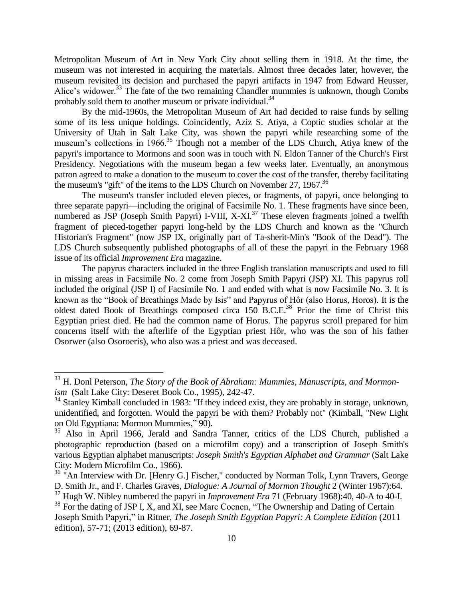Metropolitan Museum of Art in New York City about selling them in 1918. At the time, the museum was not interested in acquiring the materials. Almost three decades later, however, the museum revisited its decision and purchased the papyri artifacts in 1947 from Edward Heusser, Alice's widower.<sup>33</sup> The fate of the two remaining Chandler mummies is unknown, though Combs probably sold them to another museum or private individual. $34$ 

By the mid-1960s, the Metropolitan Museum of Art had decided to raise funds by selling some of its less unique holdings. Coincidently, Aziz S. Atiya, a Coptic studies scholar at the University of Utah in Salt Lake City, was shown the papyri while researching some of the museum's collections in 1966.<sup>35</sup> Though not a member of the LDS Church, Atiya knew of the papyri's importance to Mormons and soon was in touch with N. Eldon Tanner of the Church's First Presidency. Negotiations with the museum began a few weeks later. Eventually, an anonymous patron agreed to make a donation to the museum to cover the cost of the transfer, thereby facilitating the museum's "gift" of the items to the LDS Church on November 27, 1967.<sup>36</sup>

The museum's transfer included eleven pieces, or fragments, of papyri, once belonging to three separate papyri—including the original of Facsimile No. 1. These fragments have since been, numbered as JSP (Joseph Smith Papyri) I-VIII, X-XI.<sup>37</sup> These eleven fragments joined a twelfth fragment of pieced-together papyri long-held by the LDS Church and known as the "Church Historian's Fragment" (now JSP IX, originally part of Ta-sherit-Min's "Book of the Dead"). The LDS Church subsequently published photographs of all of these the papyri in the February 1968 issue of its official *Improvement Era* magazine.

The papyrus characters included in the three English translation manuscripts and used to fill in missing areas in Facsimile No. 2 come from Joseph Smith Papyri (JSP) XI. This papyrus roll included the original (JSP I) of Facsimile No. 1 and ended with what is now Facsimile No. 3. It is known as the "Book of Breathings Made by Isis" and Papyrus of Hôr (also Horus, Horos). It is the oldest dated Book of Breathings composed circa 150 B.C.E.<sup>38</sup> Prior the time of Christ this Egyptian priest died. He had the common name of Horus. The papyrus scroll prepared for him concerns itself with the afterlife of the Egyptian priest Hôr, who was the son of his father Osorwer (also Osoroeris), who also was a priest and was deceased.

<sup>33</sup> H. Donl Peterson, *The Story of the Book of Abraham: Mummies, Manuscripts, and Mormonism* (Salt Lake City: Deseret Book Co., 1995), 242-47.

 $34$  Stanley Kimball concluded in 1983: "If they indeed exist, they are probably in storage, unknown, unidentified, and forgotten. Would the papyri be with them? Probably not" (Kimball, "New Light on Old Egyptiana: Mormon Mummies," 90).

<sup>&</sup>lt;sup>35</sup> Also in April 1966, Jerald and Sandra Tanner, critics of the LDS Church, published a photographic reproduction (based on a microfilm copy) and a transcription of Joseph Smith's various Egyptian alphabet manuscripts: *Joseph Smith's Egyptian Alphabet and Grammar* (Salt Lake City: Modern Microfilm Co., 1966).

<sup>&</sup>lt;sup>36</sup> "An Interview with Dr. [Henry G.] Fischer," conducted by Norman Tolk, Lynn Travers, George D. Smith Jr., and F. Charles Graves, *Dialogue: A Journal of Mormon Thought* 2 (Winter 1967):64.

<sup>&</sup>lt;sup>37</sup> Hugh W. Nibley numbered the papyri in *Improvement Era* 71 (February 1968):40, 40-A to 40-I.

<sup>&</sup>lt;sup>38</sup> For the dating of JSP I, X, and XI, see Marc Coenen, "The Ownership and Dating of Certain Joseph Smith Papyri," in Ritner, *The Joseph Smith Egyptian Papyri: A Complete Edition* (2011 edition), 57-71; (2013 edition), 69-87.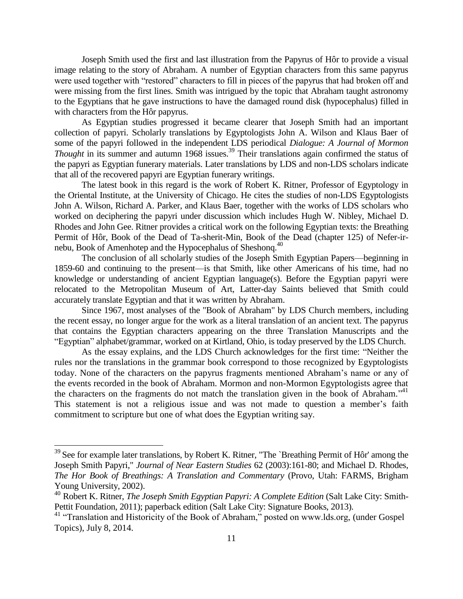Joseph Smith used the first and last illustration from the Papyrus of Hôr to provide a visual image relating to the story of Abraham. A number of Egyptian characters from this same papyrus were used together with "restored" characters to fill in pieces of the papyrus that had broken off and were missing from the first lines. Smith was intrigued by the topic that Abraham taught astronomy to the Egyptians that he gave instructions to have the damaged round disk (hypocephalus) filled in with characters from the Hôr papyrus.

As Egyptian studies progressed it became clearer that Joseph Smith had an important collection of papyri. Scholarly translations by Egyptologists John A. Wilson and Klaus Baer of some of the papyri followed in the independent LDS periodical *Dialogue: A Journal of Mormon Thought* in its summer and autumn 1968 issues.<sup>39</sup> Their translations again confirmed the status of the papyri as Egyptian funerary materials. Later translations by LDS and non-LDS scholars indicate that all of the recovered papyri are Egyptian funerary writings.

The latest book in this regard is the work of Robert K. Ritner, Professor of Egyptology in the Oriental Institute, at the University of Chicago. He cites the studies of non-LDS Egyptologists John A. Wilson, Richard A. Parker, and Klaus Baer, together with the works of LDS scholars who worked on deciphering the papyri under discussion which includes Hugh W. Nibley, Michael D. Rhodes and John Gee. Ritner provides a critical work on the following Egyptian texts: the Breathing Permit of Hôr, Book of the Dead of Ta-sherit-Min, Book of the Dead (chapter 125) of Nefer-irnebu, Book of Amenhotep and the Hypocephalus of Sheshong.<sup>40</sup>

The conclusion of all scholarly studies of the Joseph Smith Egyptian Papers—beginning in 1859-60 and continuing to the present—is that Smith, like other Americans of his time, had no knowledge or understanding of ancient Egyptian language(s). Before the Egyptian papyri were relocated to the Metropolitan Museum of Art, Latter-day Saints believed that Smith could accurately translate Egyptian and that it was written by Abraham.

Since 1967, most analyses of the "Book of Abraham" by LDS Church members, including the recent essay, no longer argue for the work as a literal translation of an ancient text. The papyrus that contains the Egyptian characters appearing on the three Translation Manuscripts and the "Egyptian" alphabet/grammar, worked on at Kirtland, Ohio, is today preserved by the LDS Church.

As the essay explains, and the LDS Church acknowledges for the first time: "Neither the rules nor the translations in the grammar book correspond to those recognized by Egyptologists today. None of the characters on the papyrus fragments mentioned Abraham's name or any of the events recorded in the book of Abraham. Mormon and non-Mormon Egyptologists agree that the characters on the fragments do not match the translation given in the book of Abraham."<sup>41</sup> This statement is not a religious issue and was not made to question a member's faith commitment to scripture but one of what does the Egyptian writing say.

 $\overline{a}$ 

 $39$  See for example later translations, by Robert K. Ritner, "The `Breathing Permit of Hôr' among the Joseph Smith Papyri," *Journal of Near Eastern Studies* 62 (2003):161-80; and Michael D. Rhodes, *The Hor Book of Breathings: A Translation and Commentary* (Provo, Utah: FARMS, Brigham Young University, 2002).

<sup>40</sup> Robert K. Ritner, *The Joseph Smith Egyptian Papyri: A Complete Edition* (Salt Lake City: Smith-Pettit Foundation, 2011); paperback edition (Salt Lake City: Signature Books, 2013).

<sup>&</sup>lt;sup>41</sup> "Translation and Historicity of the Book of Abraham," posted on www.lds.org, (under Gospel Topics), July 8, 2014.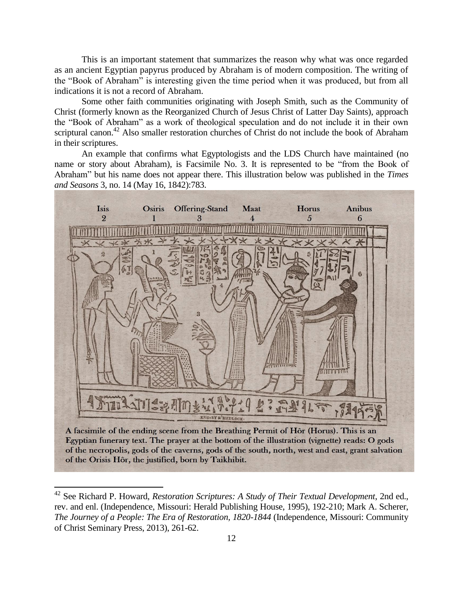This is an important statement that summarizes the reason why what was once regarded as an ancient Egyptian papyrus produced by Abraham is of modern composition. The writing of the "Book of Abraham" is interesting given the time period when it was produced, but from all indications it is not a record of Abraham.

Some other faith communities originating with Joseph Smith, such as the Community of Christ (formerly known as the Reorganized Church of Jesus Christ of Latter Day Saints), approach the "Book of Abraham" as a work of theological speculation and do not include it in their own scriptural canon.<sup>42</sup> Also smaller restoration churches of Christ do not include the book of Abraham in their scriptures.

An example that confirms what Egyptologists and the LDS Church have maintained (no name or story about Abraham), is Facsimile No. 3. It is represented to be "from the Book of Abraham" but his name does not appear there. This illustration below was published in the *Times and Seasons* 3, no. 14 (May 16, 1842):783.



A facsimile of the ending scene from the Breathing Permit of Hôr (Horus). This is an Egyptian funerary text. The prayer at the bottom of the illustration (vignette) reads: O gods of the necropolis, gods of the caverns, gods of the south, north, west and east, grant salvation of the Orisis Hôr, the justified, born by Taikhibit.

<sup>42</sup> See Richard P. Howard, *Restoration Scriptures: A Study of Their Textual Development*, 2nd ed., rev. and enl. (Independence, Missouri: Herald Publishing House, 1995), 192-210; Mark A. Scherer, *The Journey of a People: The Era of Restoration, 1820-1844* (Independence, Missouri: Community of Christ Seminary Press, 2013), 261-62.